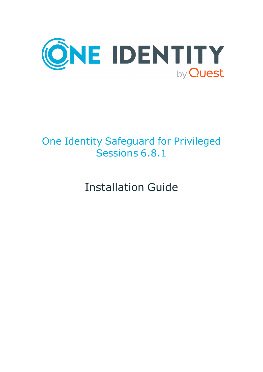

# One Identity Safeguard for Privileged Sessions 6.8.1

Installation Guide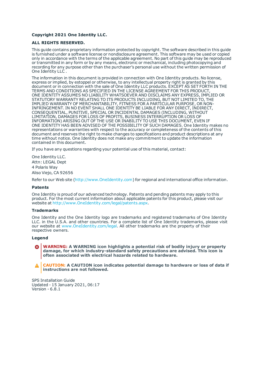### **Copyright 2021 One Identity LLC.**

### **ALL RIGHTS RESERVED.**

This guide contains proprietary information protected by copyright. The software described in this guide is furnished under a software license or nondisclosure agreement. This software may be used or copied only in accordance with the terms of the applicable agreement. No part of this guide may be reproduced or transmitted in any form or by any means, electronic or mechanical, including photocopying and recording for any purpose other than the purchaser's personal use without the written permission of One Identity LLC .

The information in this document is provided in connection with One Identity products. No license, express or implied, by estoppel or otherwise, to any intellectual property right is granted by this document or in connection with the sale of One Identity LLC products. EXCEPT AS SET FORTH IN THE TERMS AND CONDITIONS AS SPECIFIED IN THE LICENSE AGREEMENT FOR THIS PRODUCT, ONE IDENTITY ASSUMES NO LIABILITY WHATSOEVER AND DISCLAIMS ANY EXPRESS, IMPLIED OR STATUTORY WARRANTY RELATING TO ITS PRODUCTS INCLUDING, BUT NOT LIMITED TO, THE IMPLIED WARRANTY OF MERCHANTABILITY, FITNESS FOR A PARTICULAR PURPOSE, OR NON-INFRINGEMENT. IN NO EVENT SHALL ONE IDENTITY BE LIABLE FOR ANY DIRECT, INDIRECT, CONSEQUENTIAL, PUNITIVE, SPECIAL OR INCIDENTAL DAMAGES (INCLUDING, WITHOUT LIMITATION, DAMAGES FOR LOSS OF PROFITS, BUSINESS INTERRUPTION OR LOSS OF INFORMATION) ARISING OUT OF THE USE OR INABILITY TO USE THIS DOCUMENT, EVEN IF ONE IDENTITY HAS BEEN ADVISED OF THE POSSIBILITY OF SUCH DAMAGES. One Identity makes no representations or warranties with respect to the accuracy or completeness of the contents of this document and reserves the right to make changes to specifications and product descriptions at any time without notice. One Identity does not make any commitment to update the information contained in this document.

If you have any questions regarding your potential use of this material, contact:

One Identity LLC. Attn: LEGAL Dept 4 Polaris Way Aliso Viejo, CA 92656

Refer to our Web site ([http://www.OneIdentity.com](http://www.oneidentity.com/)) for regional and international office information.

### **Patents**

One Identity is proud of our advanced technology. Patents and pending patents may apply to this product. For the most current information about applicable patents for this product, please visit our website at [http://www.OneIdentity.com/legal/patents.aspx](http://www.oneidentity.com/legal/patents.aspx).

### **Trademarks**

One Identity and the One Identity logo are trademarks and registered trademarks of One Identity LLC. in the U.S.A. and other countries. For a complete list of One Identity trademarks, please visit our website at [www.OneIdentity.com/legal](http://www.oneidentity.com/legal). All other trademarks are the property of their respective owners.

### **Legend**

**WARNING: A WARNING icon highlights a potential risk of bodily injury or property damage, for which industry-standard safety precautions are advised. This icon is often associated with electrical hazards related to hardware.**

**CAUTION: A CAUTION icon indicates potential damage to hardware or loss of data if** A **instructions are not followed.**

SPS Installation Guide Updated - 15 January 2021, 06:17 Version - 6.8.1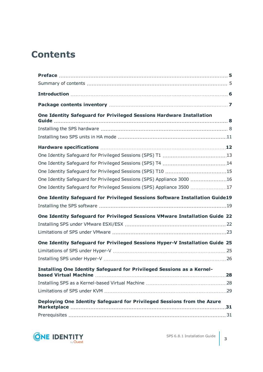## **Contents**

| One Identity Safeguard for Privileged Sessions Hardware Installation                                                                                                                                                                                                                                                                                                                                                                                                                                                                                          |  |
|---------------------------------------------------------------------------------------------------------------------------------------------------------------------------------------------------------------------------------------------------------------------------------------------------------------------------------------------------------------------------------------------------------------------------------------------------------------------------------------------------------------------------------------------------------------|--|
|                                                                                                                                                                                                                                                                                                                                                                                                                                                                                                                                                               |  |
|                                                                                                                                                                                                                                                                                                                                                                                                                                                                                                                                                               |  |
|                                                                                                                                                                                                                                                                                                                                                                                                                                                                                                                                                               |  |
|                                                                                                                                                                                                                                                                                                                                                                                                                                                                                                                                                               |  |
|                                                                                                                                                                                                                                                                                                                                                                                                                                                                                                                                                               |  |
|                                                                                                                                                                                                                                                                                                                                                                                                                                                                                                                                                               |  |
|                                                                                                                                                                                                                                                                                                                                                                                                                                                                                                                                                               |  |
| Guide<br>One Identity Safeguard for Privileged Sessions (SPS) Appliance 3000 16<br>One Identity Safeguard for Privileged Sessions (SPS) Appliance 3500 17<br>One Identity Safeguard for Privileged Sessions Software Installation Guide19<br>One Identity Safeguard for Privileged Sessions VMware Installation Guide 22<br>One Identity Safeguard for Privileged Sessions Hyper-V Installation Guide 25<br>Installing One Identity Safeguard for Privileged Sessions as a Kernel-<br>Deploying One Identity Safeguard for Privileged Sessions from the Azure |  |
|                                                                                                                                                                                                                                                                                                                                                                                                                                                                                                                                                               |  |
|                                                                                                                                                                                                                                                                                                                                                                                                                                                                                                                                                               |  |
|                                                                                                                                                                                                                                                                                                                                                                                                                                                                                                                                                               |  |
|                                                                                                                                                                                                                                                                                                                                                                                                                                                                                                                                                               |  |
|                                                                                                                                                                                                                                                                                                                                                                                                                                                                                                                                                               |  |
|                                                                                                                                                                                                                                                                                                                                                                                                                                                                                                                                                               |  |
|                                                                                                                                                                                                                                                                                                                                                                                                                                                                                                                                                               |  |
|                                                                                                                                                                                                                                                                                                                                                                                                                                                                                                                                                               |  |
|                                                                                                                                                                                                                                                                                                                                                                                                                                                                                                                                                               |  |
|                                                                                                                                                                                                                                                                                                                                                                                                                                                                                                                                                               |  |
|                                                                                                                                                                                                                                                                                                                                                                                                                                                                                                                                                               |  |
|                                                                                                                                                                                                                                                                                                                                                                                                                                                                                                                                                               |  |
|                                                                                                                                                                                                                                                                                                                                                                                                                                                                                                                                                               |  |
|                                                                                                                                                                                                                                                                                                                                                                                                                                                                                                                                                               |  |

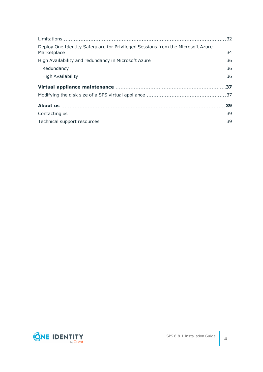| Deploy One Identity Safeguard for Privileged Sessions from the Microsoft Azure |  |
|--------------------------------------------------------------------------------|--|
|                                                                                |  |
|                                                                                |  |
|                                                                                |  |
|                                                                                |  |
|                                                                                |  |
|                                                                                |  |
|                                                                                |  |
|                                                                                |  |

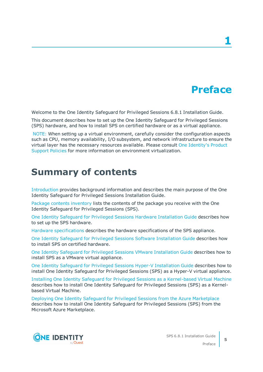## **Preface**

**1**

<span id="page-4-0"></span>Welcome to the One Identity Safeguard for Privileged Sessions 6.8.1 Installation Guide.

This document describes how to set up the One Identity Safeguard for Privileged Sessions (SPS) hardware, and how to install SPS on certified hardware or as a virtual appliance.

NOTE: When setting up a virtual environment, carefully consider the configuration aspects such as CPU, memory availability, I/O subsystem, and network infrastructure to ensure the virtual layer has the necessary resources available. Please consult One [Identity's](https://support.oneidentity.com/essentials/support-guide#tab3) Product [Support](https://support.oneidentity.com/essentials/support-guide#tab3) Policies for more information on environment virtualization.

## <span id="page-4-1"></span>**Summary of contents**

[Introduction](#page-5-0) provides background information and describes the main purpose of the One Identity Safeguard for Privileged Sessions Installation Guide.

Package contents [inventory](#page-6-0) lists the contents of the package you receive with the One Identity Safeguard for Privileged Sessions (SPS).

One Identity Safeguard for Privileged Sessions Hardware [Installation](#page-7-0) Guide describes how to set up the SPS hardware.

Hardware [specifications](#page-11-0) describes the hardware specifications of the SPS appliance.

One Identity Safeguard for Privileged Sessions Software [Installation](#page-18-0) Guide describes how to install SPS on certified hardware.

One Identity Safeguard for Privileged Sessions VMware [Installation](#page-21-0) Guide describes how to install SPS as a VMware virtual appliance.

One Identity Safeguard for Privileged Sessions Hyper-V [Installation](#page-24-0) Guide describes how to install One Identity Safeguard for Privileged Sessions (SPS) as a Hyper-V virtual appliance.

Installing One Identity Safeguard for Privileged Sessions as a [Kernel-based](#page-27-0) Virtual Machine describes how to install One Identity Safeguard for Privileged Sessions (SPS) as a Kernelbased Virtual Machine.

Deploying One Identity Safeguard for Privileged Sessions from the Azure [Marketplace](#page-30-0) describes how to install One Identity Safeguard for Privileged Sessions (SPS) from the Microsoft Azure Marketplace.

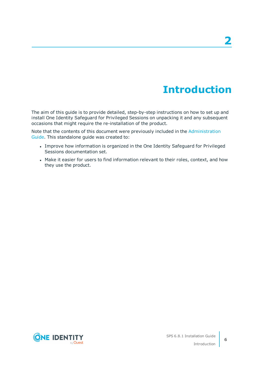# **Introduction**

<span id="page-5-0"></span>The aim of this guide is to provide detailed, step-by-step instructions on how to set up and install One Identity Safeguard for Privileged Sessions on unpacking it and any subsequent occasions that might require the re-installation of the product.

Note that the contents of this document were previously included in the [Administration](https://support.oneidentity.com/technical-documents/safeguard-for-privileged-sessions/6.8.1/administration-guide/) [Guide.](https://support.oneidentity.com/technical-documents/safeguard-for-privileged-sessions/6.8.1/administration-guide/) This standalone guide was created to:

- Improve how information is organized in the One Identity Safeguard for Privileged Sessions documentation set.
- Make it easier for users to find information relevant to their roles, context, and how they use the product.

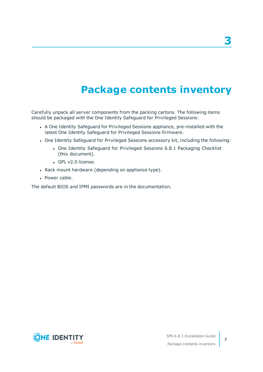# **Package contents inventory**

<span id="page-6-0"></span>Carefully unpack all server components from the packing cartons. The following items should be packaged with the One Identity Safeguard for Privileged Sessions:

- A One Identity Safeguard for Privileged Sessions appliance, pre-installed with the latest One Identity Safeguard for Privileged Sessions firmware.
- One Identity Safeguard for Privileged Sessions accessory kit, including the following:
	- One Identity Safeguard for Privileged Sessions 6.8.1 Packaging Checklist (this document).
	- GPL v2.0 license.
- Rack mount hardware (depending on appliance type).
- Power cable.

The default BIOS and IPMI passwords are in the documentation.

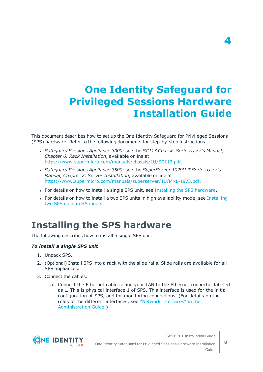# <span id="page-7-0"></span>**One Identity Safeguard for Privileged Sessions Hardware Installation Guide**

This document describes how to set up the One Identity Safeguard for Privileged Sessions (SPS) hardware. Refer to the following documents for step-by-step instructions:

- <sup>l</sup> *Safeguard Sessions Appliance 3000*: see the *SC113 Chassis Series User's Manual, Chapter 6: Rack Installation*, available online at [https://www.supermicro.com/manuals/chassis/1U/SC113.pdf.](https://www.supermicro.com/manuals/chassis/1U/SC113.pdf)
- <sup>l</sup> *Safeguard Sessions Appliance 3500*: see the *SuperServer 1029U-T Series User's Manual, Chapter 2: Server Installation*, available online at [https://www.supermicro.com/manuals/superserver/1U/MNL-1973.pdf.](https://www.supermicro.com/manuals/superserver/1U/MNL-1973.pdf)
- For details on how to install a single SPS unit, see Installing the SPS [hardware](#page-7-1).
- For details on how to install a two SPS units in high availability mode, see [Installing](#page-10-0) two SPS units in HA [mode.](#page-10-0)

## <span id="page-7-1"></span>**Installing the SPS hardware**

The following describes how to install a single SPS unit.

## *To install a single SPS unit*

- 1. Unpack SPS.
- 2. (Optional) Install SPS into a rack with the slide rails. Slide rails are available for all SPS appliances.
- 3. Connect the cables.
	- a. Connect the Ethernet cable facing your LAN to the Ethernet connector labeled as 1. This is physical interface 1 of SPS. This interface is used for the initial configuration of SPS, and for monitoring connections. (For details on the roles of the different interfaces, see "Network [interfaces"](https://support.oneidentity.com/technical-documents/safeguard-for-privileged-sessions/6.8.1/administration-guide/the-concepts-of-one-identity-safeguard-for-privileged-sessions-sps/network-interfaces/) in the [Administration](https://support.oneidentity.com/technical-documents/safeguard-for-privileged-sessions/6.8.1/administration-guide/the-concepts-of-one-identity-safeguard-for-privileged-sessions-sps/network-interfaces/) Guide.)



One Identity Safeguard for Privileged Sessions Hardware Installation Guide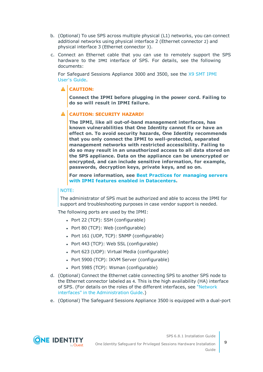- b. (Optional) To use SPS across multiple physical (L1) networks, you can connect additional networks using physical interface 2 (Ethernet connector 2) and physical interface 3 (Ethernet connector 3).
- c. Connect an Ethernet cable that you can use to remotely support the SPS hardware to the IPMI interface of SPS. For details, see the following documents:

For Safeguard Sessions Appliance 3000 and 3500, see the X9 SMT [IPMI](http://www.supermicro.com/manuals/other/X9_SMT_IPMI.pdf) [User's](http://www.supermicro.com/manuals/other/X9_SMT_IPMI.pdf) Guide.

## **A** CAUTION:

**Connect the IPMI before plugging in the power cord. Failing to do so will result in IPMI failure.**

## **CAUTION: SECURITY HAZARD!**

**The IPMI, like all out-of-band management interfaces, has known vulnerabilities that One Identity cannot fix or have an effect on. To avoid security hazards, One Identity recommends that you only connect the IPMI to well-protected, separated management networks with restricted accessibility. Failing to do so may result in an unauthorized access to all data stored on the SPS appliance. Data on the appliance can be unencrypted or encrypted, and can include sensitive information, for example, passwords, decryption keys, private keys, and so on.**

**For more information, see Best Practices for [managing](https://www.supermicro.com/products/nfo/files/IPMI/Best_Practices_BMC_Security.pdf) servers with IPMI features enabled in [Datacenters](https://www.supermicro.com/products/nfo/files/IPMI/Best_Practices_BMC_Security.pdf).**

## NOTE:

The administrator of SPS must be authorized and able to access the IPMI for support and troubleshooting purposes in case vendor support is needed.

The following ports are used by the IPMI:

- Port 22 (TCP): SSH (configurable)
- Port 80 (TCP): Web (configurable)
- Port 161 (UDP, TCP): SNMP (configurable)
- Port 443 (TCP): Web SSL (configurable)
- Port 623 (UDP): Virtual Media (configurable)
- Port 5900 (TCP): IKVM Server (configurable)
- Port 5985 (TCP): Wsman (configurable)
- d. (Optional) Connect the Ethernet cable connecting SPS to another SPS node to the Ethernet connector labeled as 4. This is the high availability (HA) interface of SPS. (For details on the roles of the different interfaces, see ["Network](https://support.oneidentity.com/technical-documents/safeguard-for-privileged-sessions/6.8.1/administration-guide/the-concepts-of-one-identity-safeguard-for-privileged-sessions-sps/network-interfaces/) interfaces" in the [Administration](https://support.oneidentity.com/technical-documents/safeguard-for-privileged-sessions/6.8.1/administration-guide/the-concepts-of-one-identity-safeguard-for-privileged-sessions-sps/network-interfaces/) Guide.)
- e. (Optional) The Safeguard Sessions Appliance 3500 is equipped with a dual-port

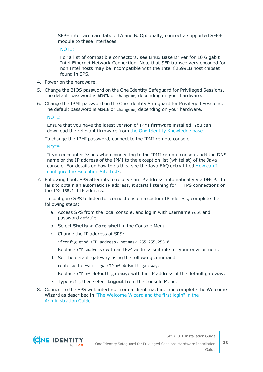SFP+ interface card labeled A and B. Optionally, connect a supported SFP+ module to these interfaces.

### NOTE:

For a list of compatible connectors, see Linux Base Driver for 10 Gigabit Intel Ethernet Network Connection. Note that SFP transceivers encoded for non Intel hosts may be incompatible with the Intel 82599EB host chipset found in SPS.

- 4. Power on the hardware.
- 5. Change the BIOS password on the One Identity Safeguard for Privileged Sessions. The default password is ADMIN or changeme, depending on your hardware.
- 6. Change the IPMI password on the One Identity Safeguard for Privileged Sessions. The default password is ADMIN or changeme, depending on your hardware.

### NOTE:

Ensure that you have the latest version of IPMI firmware installed. You can download the relevant firmware from the One Identity [Knowledge](https://support.oneidentity.com/kb-product-select) base.

To change the IPMI password, connect to the IPMI remote console.

### NOTE:

If you encounter issues when connecting to the IPMI remote console, add the DNS name or the IP address of the IPMI to the exception list (whitelist) of the Java console. For details on how to do this, see the Java FAQ entry titled [How](https://www.java.com/en/download/faq/exception_sitelist.xml) can I configure the [Exception](https://www.java.com/en/download/faq/exception_sitelist.xml) Site List?.

7. Following boot, SPS attempts to receive an IP address automatically via DHCP. If it fails to obtain an automatic IP address, it starts listening for HTTPS connections on the 192.168.1.1 IP address.

To configure SPS to listen for connections on a custom IP address, complete the following steps:

- a. Access SPS from the local console, and log in with username root and password default.
- b. Select **Shells > Core shell** in the Console Menu.
- c. Change the IP address of SPS:

ifconfig eth0 <IP-address> netmask 255.255.255.0

Replace <IP-address> with an IPv4 address suitable for your environment.

d. Set the default gateway using the following command:

route add default gw <IP-of-default-gateway>

Replace <IP-of-default-gateway> with the IP address of the default gateway.

- e. Type exit, then select **Logout** from the Console Menu.
- 8. Connect to the SPS web interface from a client machine and complete the Welcome Wizard as described in "The [Welcome](https://support.oneidentity.com/technical-documents/safeguard-for-privileged-sessions/6.8.1/administration-guide/) Wizard and the first login" in the [Administration](https://support.oneidentity.com/technical-documents/safeguard-for-privileged-sessions/6.8.1/administration-guide/) Guide.

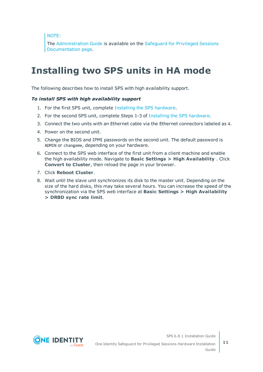NOTE:

The [Administration](https://support.oneidentity.com/technical-documents/safeguard-for-privileged-sessions/6.8.1/administration-guide/) Guide is available on the [Safeguard](https://support.oneidentity.com/one-identity-safeguard-for-privileged-sessions/technical-documents) for Privileged Sessions [Documentation](https://support.oneidentity.com/one-identity-safeguard-for-privileged-sessions/technical-documents) page.

## <span id="page-10-0"></span>**Installing two SPS units in HA mode**

The following describes how to install SPS with high availability support.

### *To install SPS with high availability support*

- 1. For the first SPS unit, complete Installing the SPS [hardware.](#page-7-1)
- 2. For the second SPS unit, complete Steps 1-3 of Installing the SPS [hardware.](#page-7-1)
- 3. Connect the two units with an Ethernet cable via the Ethernet connectors labeled as 4.
- 4. Power on the second unit.
- 5. Change the BIOS and IPMI passwords on the second unit. The default password is ADMIN or changeme, depending on your hardware.
- 6. Connect to the SPS web interface of the first unit from a client machine and enable the high availability mode. Navigate to **Basic Settings > High Availability** . Click **Convert to Cluster**, then reload the page in your browser.
- 7. Click **Reboot Cluster**.
- 8. Wait until the slave unit synchronizes its disk to the master unit. Depending on the size of the hard disks, this may take several hours. You can increase the speed of the synchronization via the SPS web interface at **Basic Settings > High Availability > DRBD sync rate limit**.



SPS 6.8.1 Installation Guide One Identity Safeguard for Privileged Sessions Hardware Installation

Guide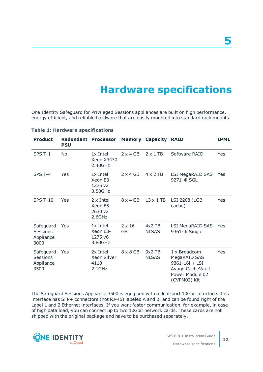**5**

## **Hardware specifications**

<span id="page-11-0"></span>One Identity Safeguard for Privileged Sessions appliances are built on high performance, energy efficient, and reliable hardware that are easily mounted into standard rack mounts.

| <b>Product</b>                                    | <b>Redundant Processor</b><br><b>PSU</b> |                                                   |                            | <b>Memory Capacity RAID</b> |                                                                                                       | <b>IPMI</b> |
|---------------------------------------------------|------------------------------------------|---------------------------------------------------|----------------------------|-----------------------------|-------------------------------------------------------------------------------------------------------|-------------|
| SPS T-1                                           | <b>No</b>                                | 1x Intel<br><b>Xeon X3430</b><br>2.40GHz          | $2 \times 4$ GB            | $2 \times 1$ TB             | Software RAID                                                                                         | Yes         |
| SPS T-4                                           | Yes                                      | 1x Intel<br>Xeon E3-<br>1275 v2<br>3.50GHz        | $2 \times 4$ GB            | $4 \times 2$ TB             | LSI MegaRAID SAS<br>9271-4i SGL                                                                       | Yes         |
| <b>SPS T-10</b>                                   | Yes                                      | $2 \times$ Intel<br>Xeon E5-<br>2630 v2<br>2.6GHz | $8 \times 4$ GB            | $13 \times 1$ TB            | LSI 2208 (1GB<br>cache)                                                                               | Yes         |
| Safeguard<br><b>Sessions</b><br>Appliance<br>3000 | Yes                                      | 1x Intel<br>Xeon E3-<br>1275 v6<br>3.80GHz        | $2 \times 16$<br><b>GB</b> | $4x2$ TB<br><b>NLSAS</b>    | LSI MegaRAID SAS<br>9361-4i Single                                                                    | <b>Yes</b>  |
| Safeguard<br><b>Sessions</b><br>Appliance<br>3500 | Yes                                      | 2x Intel<br>Xeon Silver<br>4110<br>$2.1$ GHz      | $8 \times 8$ GB            | $9x2$ TB<br><b>NLSAS</b>    | 1 x Broadcom<br>MegaRAID SAS<br>9361-16i + LSI<br>Avago CacheVault<br>Power Module 02<br>(CVPM02) Kit | Yes         |

### **Table 1: Hardware specifications**

The Safeguard Sessions Appliance 3500 is equipped with a dual-port 10Gbit interface. This interface has SFP+ connectors (not RJ-45) labeled A and B, and can be found right of the Label 1 and 2 Ethernet interfaces. If you want faster communication, for example, in case of high data load, you can connect up to two 10Gbit network cards. These cards are not shipped with the original package and have to be purchased separately.



**12**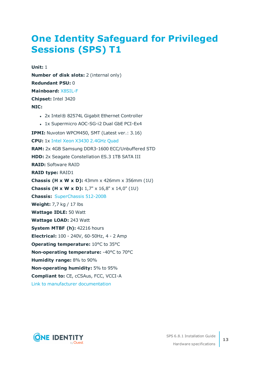## <span id="page-12-0"></span>**One Identity [Safeguard](https://www.supermicro.com/products/system/1u/5016/sys-5016i-mr.cfm) for Privileged [Sessions](https://www.supermicro.com/products/system/1u/5016/sys-5016i-mr.cfm) (SPS) T1**

**Unit:** 1 **Number of disk slots:** 2 (internal only) **Redundant PSU:** 0 **Mainboard:** [X8SIL-F](https://www.supermicro.com/products/motherboard/xeon3000/3400/X8SIL.cfm) **Chipset:** Intel 3420 **NIC:** • 2x Intel® 82574L Gigabit Ethernet Controller • 1x Supermicro AOC-SG-i2 Dual GbE PCI-Ex4 **IPMI:** Nuvoton WPCM450, SMT (Latest ver.: 3.16) **CPU:** 1x Intel Xeon X3430 [2.4GHz](https://ark.intel.com/products/42927) Quad **RAM:** 2x 4GB Samsung DDR3-1600 ECC/Unbuffered STD **HDD:** 2x Seagate Constellation ES.3 1TB SATA III **RAID:** Software RAID **RAID type:** RAID1 **Chassis (H x W x D):** 43mm x 426mm x 356mm (1U) **Chassis (H x W x D):** 1,7" x 16,8" x 14,0" (1U) **Chassis:** [SuperChassis](https://www.supermicro.com/products/chassis/1U/512/SC512-200.cfm) 512-200B **Weight:** 7,7 kg / 17 lbs **Wattage IDLE:** 50 Watt **Wattage LOAD:** 243 Watt **System MTBF (h):** 42216 hours **Electrical:** 100 - 240V, 60-50Hz, 4 - 2 Amp **Operating temperature:** 10°C to 35°C **Non-operating temperature:** -40°C to 70°C **Humidity range:** 8% to 90% **Non-operating humidity:** 5% to 95% **Compliant to:** CE, cCSAus, FCC, VCCI-A Link to manufacturer [documentation](https://www.supermicro.com/products/system/1u/5016/sys-5016i-mr.cfm)

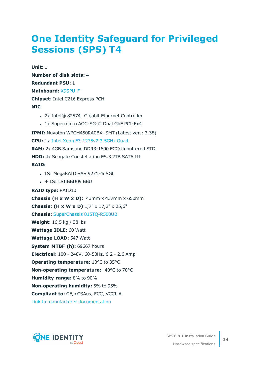## <span id="page-13-0"></span>**One Identity [Safeguard](https://www.supermicro.com/products/system/1u/5017/sys-5017c-urf.cfm) for Privileged [Sessions](https://www.supermicro.com/products/system/1u/5017/sys-5017c-urf.cfm) (SPS) T4**

**Unit:** 1 **Number of disk slots:** 4 **Redundant PSU:** 1 **Mainboard:** [X9SPU-F](https://www.supermicro.com/products/motherboard/Xeon/C216/X9SPU-F.cfm) **Chipset:** Intel C216 Express PCH **NIC**

- 2x Intel® 82574L Gigabit Ethernet Controller
- 1x Supermicro AOC-SG-i2 Dual GbE PCI-Ex4

**IPMI:** Nuvoton WPCM450RA0BX, SMT (Latest ver.: 3.38) **CPU:** 1x Intel Xeon [E3-1275v2](https://ark.intel.com/products/65726) 3.5GHz Quad **RAM:** 2x 4GB Samsung DDR3-1600 ECC/Unbuffered STD **HDD:** 4x Seagate Constellation ES.3 2TB SATA III **RAID:**

- LSI MegaRAID SAS 9271-4i SGL
- $\cdot$  + LSI LSIiBBU09 BBU

**RAID type:** RAID10 **Chassis (H x W x D):** 43mm x 437mm x 650mm **Chassis: (H x W x D)** 1,7" x 17,2" x 25,6" **Chassis:** SuperChassis [815TQ-R500UB](https://www.supermicro.com/products/chassis/1U/815/SC815TQ-R500U.cfm) **Weight:** 16,5 kg / 38 lbs **Wattage IDLE:** 60 Watt **Wattage LOAD:** 547 Watt **System MTBF (h):** 69667 hours **Electrical:** 100 - 240V, 60-50Hz, 6.2 - 2.6 Amp **Operating temperature:** 10°C to 35°C **Non-operating temperature:** -40°C to 70°C **Humidity range:** 8% to 90% **Non-operating humidity:** 5% to 95% **Compliant to:** CE, cCSAus, FCC, VCCI-A

Link to manufacturer [documentation](https://www.supermicro.com/products/system/1u/5017/sys-5017c-urf.cfm)

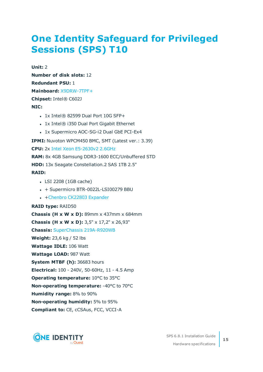## <span id="page-14-0"></span>**One Identity [Safeguard](https://www.supermicro.com/products/system/2u/2027/sys-2027r-72rftp_.cfm) for Privileged [Sessions](https://www.supermicro.com/products/system/2u/2027/sys-2027r-72rftp_.cfm) (SPS) T10**

**Unit:** 2 **Number of disk slots:** 12 **Redundant PSU:** 1 **Mainboard:** [X9DRW-7TPF+](https://www.supermicro.com/products/motherboard/Xeon/C600/X9DRW-7TPF_.cfm) **Chipset:** Intel® C602J **NIC:**

- $\cdot$  1x Intel® 82599 Dual Port 10G SFP+
- 1x Intel® i350 Dual Port Gigabit Ethernet
- 1x Supermicro AOC-SG-i2 Dual GbE PCI-Ex4

**IPMI:** Nuvoton WPCM450 BMC, SMT (Latest ver.: 3.39)

**CPU:** 2x Intel Xeon [E5-2630v2](https://ark.intel.com/products/75790) 2.6GHz

**RAM:** 8x 4GB Samsung DDR3-1600 ECC/Unbuffered STD

**HDD:** 13x Seagate Constellation.2 SAS 1TB 2.5"

### **RAID:**

- $\cdot$  LSI 2208 (1GB cache)
- $\cdot$  + Supermicro BTR-0022L-LSI00279 BBU
- +Chenbro CK22803 [Expander](https://www.chenbro.com/en-global/products/Storage_Expansion_Kit/SAS_Expander_Card/CK22803)

### **RAID type:** RAID50

**Chassis (H x W x D):** 89mm x 437mm x 684mm **Chassis (H x W x D):** 3,5" x 17,2" x 26,93" **Chassis:** SuperChassis [219A-R920WB](https://www.supermicro.com/products/chassis/2U/219/SC219A-R920W.cfm) **Weight:** 23,6 kg / 52 lbs **Wattage IDLE:** 106 Watt **Wattage LOAD:** 987 Watt **System MTBF (h):** 36683 hours **Electrical:** 100 - 240V, 50-60Hz, 11 - 4.5 Amp **Operating temperature:** 10°C to 35°C **Non-operating temperature:** -40°C to 70°C **Humidity range:** 8% to 90% **Non-operating humidity:** 5% to 95% **Compliant to:** CE, cCSAus, FCC, VCCI-A

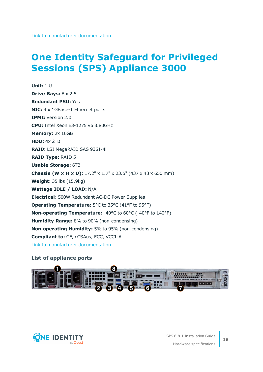## <span id="page-15-0"></span>**One Identity [Safeguard](https://www.supermicro.com/en/products/system/1U/5019/SYS-5019S-WR.cfm) for Privileged Sessions (SPS) [Appliance](https://www.supermicro.com/en/products/system/1U/5019/SYS-5019S-WR.cfm) 3000**

**Unit:** 1 U **Drive Bays:** 8 x 2.5 **Redundant PSU:** Yes **NIC:** 4 x 1GBase-T Ethernet ports **IPMI:** version 2.0 **CPU:** Intel Xeon E3-1275 v6 3.80GHz **Memory:** 2x 16GB **HDD:** 4x 2TB **RAID:** LSI MegaRAID SAS 9361-4i **RAID Type:** RAID 5 **Usable Storage:** 6TB **Chassis (W x H x D):** 17.2" x 1.7" x 23.5" (437 x 43 x 650 mm) **Weight:** 35 lbs (15.9kg) **Wattage IDLE / LOAD:** N/A **Electrical:** 500W Redundant AC-DC Power Supplies **Operating Temperature:** 5°C to 35°C (41°F to 95°F) **Non-operating Temperature:** -40°C to 60°C (-40°F to 140°F) **Humidity Range:** 8% to 90% (non-condensing) **Non-operating Humidity:** 5% to 95% (non-condensing) **Compliant to:** CE, cCSAus, FCC, VCCI-A Link to manufacturer [documentation](https://www.supermicro.com/en/products/system/1U/5019/SYS-5019S-WR.cfm)

## **List of appliance ports**



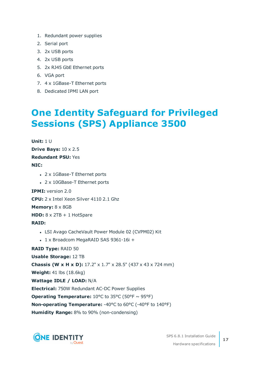- 1. Redundant power supplies
- 2. Serial port
- 3. 2x USB ports
- 4. 2x USB ports
- 5. 2x RJ45 GbE Ethernet ports
- 6. VGA port
- 7. 4 x 1GBase-T Ethernet ports
- <span id="page-16-0"></span>8. Dedicated IPMI LAN port

## **One Identity [Safeguard](https://www.supermicro.com/en/products/system/1U/1029/SYS-1029U-TRT.cfm) for Privileged Sessions (SPS) [Appliance](https://www.supermicro.com/en/products/system/1U/1029/SYS-1029U-TRT.cfm) 3500**

```
Unit: 1 U
Drive Bays: 10 x 2.5
Redundant PSU: Yes
NIC:
   • 2 x 1GBase-T Ethernet ports
   • 2 x 10GBase-T Ethernet ports
IPMI: version 2.0
CPU: 2 x Intel Xeon Silver 4110 2.1 Ghz
Memory: 8 x 8GB
HDD: 8 x 2TB + 1 HotSpare
RAID:
   • LSI Avago CacheVault Power Module 02 (CVPM02) Kit
   l 1 x Broadcom MegaRAID SAS 9361-16i +
RAID Type: RAID 50
Usable Storage: 12 TB
Chassis (W x H x D): 17.2" x 1.7" x 28.5" (437 x 43 x 724 mm)
Weight: 41 lbs (18.6kg)
Wattage IDLE / LOAD: N/A
Electrical: 750W Redundant AC-DC Power Supplies
Operating Temperature: 10^{\circ}C to 35^{\circ}C (50^{\circ}F ~ 95^{\circ}F)
Non-operating Temperature: -40°C to 60°C (-40°F to 140°F)
Humidity Range: 8% to 90% (non-condensing)
```
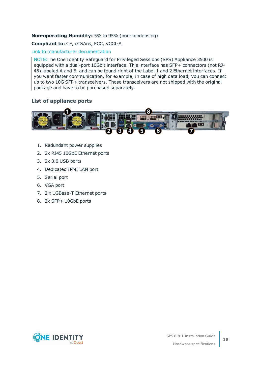## **Non-operating Humidity:** 5% to 95% (non-condensing)

### **Compliant to:** CE, cCSAus, FCC, VCCI-A

## Link to manufacturer [documentation](https://www.supermicro.com/en/products/system/1U/1029/SYS-1029U-TRT.cfm)

NOTE:The One Identity Safeguard for Privileged Sessions (SPS) Appliance 3500 is equipped with a dual-port 10Gbit interface. This interface has SFP+ connectors (not RJ-45) labeled A and B, and can be found right of the Label 1 and 2 Ethernet interfaces. If you want faster communication, for example, in case of high data load, you can connect up to two 10G SFP+ transceivers. These transceivers are not shipped with the original package and have to be purchased separately.

## **List of appliance ports**



- 1. Redundant power supplies
- 2. 2x RJ45 10GbE Ethernet ports
- 3. 2x 3.0 USB ports
- 4. Dedicated IPMI LAN port
- 5. Serial port
- 6. VGA port
- 7. 2 x 1GBase-T Ethernet ports
- 8. 2x SFP+ 10GbE ports

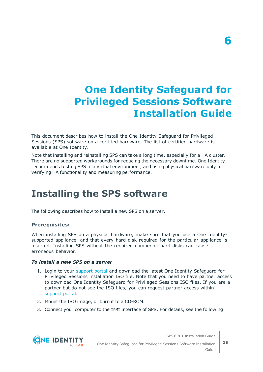# <span id="page-18-0"></span>**One Identity Safeguard for Privileged Sessions Software Installation Guide**

This document describes how to install the One Identity Safeguard for Privileged Sessions (SPS) software on a certified hardware. The list of certified hardware is available at One Identity.

Note that installing and reinstalling SPS can take a long time, especially for a HA cluster. There are no supported workarounds for reducing the necessary downtime. One Identity recommends testing SPS in a virtual environment, and using physical hardware only for verifying HA functionality and measuring performance.

## <span id="page-18-1"></span>**Installing the SPS software**

The following describes how to install a new SPS on a server.

## **Prerequisites:**

When installing SPS on a physical hardware, make sure that you use a One Identitysupported appliance, and that every hard disk required for the particular appliance is inserted. Installing SPS without the required number of hard disks can cause erroneous behavior.

### *To install a new SPS on a server*

- 1. Login to your [support](https://support.oneidentity.com/en-US/Login) portal and download the latest One Identity Safeguard for Privileged Sessions installation ISO file. Note that you need to have partner access to download One Identity Safeguard for Privileged Sessions ISO files. If you are a partner but do not see the ISO files, you can request partner access within [support](https://support.oneidentity.com/en-US/Login) portal.
- 2. Mount the ISO image, or burn it to a CD-ROM.
- 3. Connect your computer to the IPMI interface of SPS. For details, see the following



One Identity Safeguard for Privileged Sessions Software Installation Guide **19**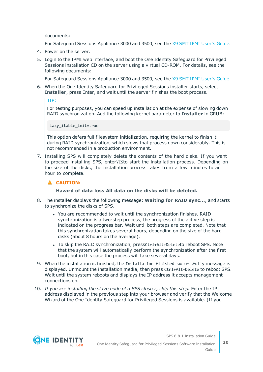documents:

For Safeguard Sessions Appliance 3000 and 3500, see the X9 SMT IPMI [User's](http://www.supermicro.com/manuals/other/X9_SMT_IPMI.pdf) Guide.

- 4. Power on the server.
- 5. Login to the IPMI web interface, and boot the One Identity Safeguard for Privileged Sessions installation CD on the server using a virtual CD-ROM. For details, see the following documents:

For Safeguard Sessions Appliance 3000 and 3500, see the X9 SMT IPMI [User's](http://www.supermicro.com/manuals/other/X9_SMT_IPMI.pdf) Guide.

6. When the One Identity Safeguard for Privileged Sessions installer starts, select **Installer**, press Enter, and wait until the server finishes the boot process.

TIP:

For testing purposes, you can speed up installation at the expense of slowing down RAID synchronization. Add the following kernel parameter to **Installer** in GRUB:

lazy\_itable\_init=true

This option defers full filesystem initialization, requiring the kernel to finish it during RAID synchronization, which slows that process down considerably. This is not recommended in a production environment.

7. Installing SPS will completely delete the contents of the hard disks. If you want to proceed installing SPS, enterYESto start the installation process. Depending on the size of the disks, the installation process takes from a few minutes to an hour to complete.

## **A** CAUTION:

### **Hazard of data loss All data on the disks will be deleted.**

- 8. The installer displays the following message: **Waiting for RAID sync...**, and starts to synchronize the disks of SPS.
	- You are recommended to wait until the synchronization finishes. RAID synchronization is a two-step process, the progress of the active step is indicated on the progress bar. Wait until both steps are completed. Note that this synchronization takes several hours, depending on the size of the hard disks (about 8 hours on the average).
	- To skip the RAID synchronization, pressCtrl+Alt+Deleteto reboot SPS. Note that the system will automatically perform the synchronization after the first boot, but in this case the process will take several days.
- 9. When the installation is finished, the Installation finished successfully message is displayed. Unmount the installation media, then press Ctrl+Alt+Delete to reboot SPS. Wait until the system reboots and displays the IP address it accepts management connections on.
- 10. *If you are installing the slave node of a SPS cluster, skip this step.* Enter the IP address displayed in the previous step into your browser and verify that the Welcome Wizard of the One Identity Safeguard for Privileged Sessions is available. (If you

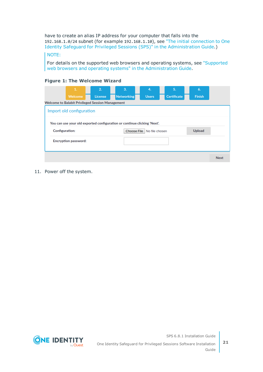have to create an alias IP address for your computer that falls into the 192.168.1.0/24 subnet (for example 192.168.1.10), see "The initial [connection](https://support.oneidentity.com/technical-documents/safeguard-for-privileged-sessions/6.8.1/administration-guide/the-welcome-wizard-and-the-first-login/the-initial-connection-to-one-identity-safeguard-for-privileged-sessions-sps/) to One Identity Safeguard for Privileged Sessions (SPS)" in the [Administration](https://support.oneidentity.com/technical-documents/safeguard-for-privileged-sessions/6.8.1/administration-guide/the-welcome-wizard-and-the-first-login/the-initial-connection-to-one-identity-safeguard-for-privileged-sessions-sps/) Guide.)

### NOTE:

For details on the supported web browsers and operating systems, see ["Supported](https://support.oneidentity.com/technical-documents/safeguard-for-privileged-sessions/6.8.1/administration-guide/basic-settings/supported-web-browsers-and-operating-systems/) web browsers and operating systems" in the [Administration](https://support.oneidentity.com/technical-documents/safeguard-for-privileged-sessions/6.8.1/administration-guide/basic-settings/supported-web-browsers-and-operating-systems/) Guide.

|  |  | <b>Figure 1: The Welcome Wizard</b> |  |
|--|--|-------------------------------------|--|
|--|--|-------------------------------------|--|

|                                                                          | 1.                                                      | 2.             | 3.                | 4.             | 5.                 | 6.            |             |  |
|--------------------------------------------------------------------------|---------------------------------------------------------|----------------|-------------------|----------------|--------------------|---------------|-------------|--|
|                                                                          | Welcome                                                 | <b>License</b> | <b>Networking</b> | <b>Users</b>   | <b>Certificate</b> | Finish        |             |  |
|                                                                          | <b>Welcome to Balabit Privileged Session Management</b> |                |                   |                |                    |               |             |  |
|                                                                          | Import old configuration                                |                |                   |                |                    |               |             |  |
| You can use your old exported configuration or continue clicking 'Next'. |                                                         |                |                   |                |                    |               |             |  |
| <b>Configuration:</b>                                                    |                                                         |                | Choose File       | No file chosen |                    | <b>Upload</b> |             |  |
|                                                                          | <b>Encryption password:</b>                             |                |                   |                |                    |               |             |  |
|                                                                          |                                                         |                |                   |                |                    |               | <b>Next</b> |  |

11. Power off the system.

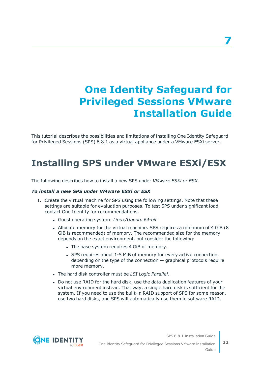# <span id="page-21-0"></span>**One Identity Safeguard for Privileged Sessions VMware Installation Guide**

This tutorial describes the possibilities and limitations of installing One Identity Safeguard for Privileged Sessions (SPS) 6.8.1 as a virtual appliance under a VMware ESXi server.

## <span id="page-21-1"></span>**Installing SPS under VMware ESXi/ESX**

The following describes how to install a new SPS under *VMware ESXi or ESX*.

## *To install a new SPS under VMware ESXi or ESX*

- 1. Create the virtual machine for SPS using the following settings. Note that these settings are suitable for evaluation purposes. To test SPS under significant load, contact One Identity for recommendations.
	- <sup>l</sup> Guest operating system: *Linux/Ubuntu 64-bit*
	- Allocate memory for the virtual machine. SPS requires a minimum of 4 GiB (8) GiB is recommended) of memory. The recommended size for the memory depends on the exact environment, but consider the following:
		- The base system requires 4 GiB of memory.
		- SPS requires about 1-5 MiB of memory for every active connection, depending on the type of the connection  $-$  graphical protocols require more memory.
	- <sup>l</sup> The hard disk controller must be *LSI Logic Parallel*.
	- Do not use RAID for the hard disk, use the data duplication features of your virtual environment instead. That way, a single hard disk is sufficient for the system. If you need to use the built-in RAID support of SPS for some reason, use two hard disks, and SPS will automatically use them in software RAID.



One Identity Safeguard for Privileged Sessions VMware Installation Guide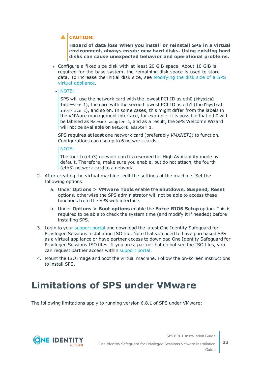## **A** CAUTION:

**Hazard of data loss When you install or reinstall SPS in a virtual environment, always create new hard disks. Using existing hard disks can cause unexpected behavior and operational problems.**

• Configure a fixed size disk with at least 20 GiB space. About 10 GiB is required for the base system, the remaining disk space is used to store data. To increase the initial disk size, see [Modifying](#page-36-1) the disk size of a SPS virtual [appliance.](#page-36-1)

## <sup>l</sup> NOTE:

SPS will use the network card with the lowest PCI ID as eth0 (Physical interface 1), the card with the second lowest PCI ID as eth1 (the Physical interface 2), and so on. In some cases, this might differ from the labels in the VMWare management interface, for example, it is possible that eth0 will be labeled as Network adapter 4, and as a result, the SPS Welcome Wizard will not be available on Network adapter 1.

SPS requires at least one network card (preferably *VMXNET3*) to function. Configurations can use up to 6 network cards.

NOTE:

The fourth (eth3) network card is reserved for High Availability mode by default. Therefore, make sure you enable, but do not attach, the fourth (eth3) network card to a network.

- 2. After creating the virtual machine, edit the settings of the machine. Set the following options:
	- a. Under **Options > VMware Tools** enable the **Shutdown, Suspend, Reset** options, otherwise the SPS administrator will not be able to access these functions from the SPS web interface.
	- b. Under **Options > Boot options** enable the **Force BIOS Setup** option. This is required to be able to check the system time (and modify it if needed) before installing SPS.
- 3. Login to your [support](https://support.oneidentity.com/en-US/Login) portal and download the latest One Identity Safeguard for Privileged Sessions installation ISO file. Note that you need to have purchased SPS as a virtual appliance or have partner access to download One Identity Safeguard for Privileged Sessions ISO files. If you are a partner but do not see the ISO files, you can request partner access within [support](https://support.oneidentity.com/en-US/Login) portal.
- 4. Mount the ISO image and boot the virtual machine. Follow the on-screen instructions to install SPS.

## <span id="page-22-0"></span>**Limitations of SPS under VMware**

The following limitations apply to running version 6.8.1 of SPS under VMware:



One Identity Safeguard for Privileged Sessions VMware Installation Guide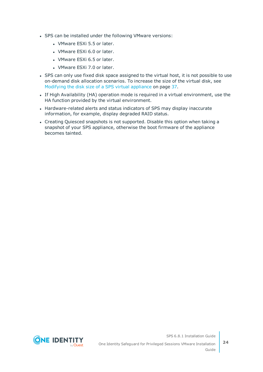- SPS can be installed under the following VMware versions:
	- VMware ESXi 5.5 or later.
	- VMware ESXi 6.0 or later.
	- VMware ESXi 6.5 or later.
	- VMware ESXi 7.0 or later.
- SPS can only use fixed disk space assigned to the virtual host, it is not possible to use on-demand disk allocation scenarios. To increase the size of the virtual disk, see [Modifying](#page-36-1) the disk size of a SPS virtual appliance on page 37.
- If High Availability (HA) operation mode is required in a virtual environment, use the HA function provided by the virtual environment.
- Hardware-related alerts and status indicators of SPS may display inaccurate information, for example, display degraded RAID status.
- Creating Quiesced snapshots is not supported. Disable this option when taking a snapshot of your SPS appliance, otherwise the boot firmware of the appliance becomes tainted.

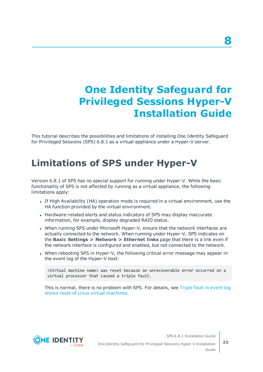# <span id="page-24-0"></span>**One Identity Safeguard for Privileged Sessions Hyper-V Installation Guide**

This tutorial describes the possibilities and limitations of installing One Identity Safeguard for Privileged Sessions (SPS) 6.8.1 as a virtual appliance under a Hyper-V server.

## <span id="page-24-1"></span>**Limitations of SPS under Hyper-V**

Version 6.8.1 of SPS has no special support for running under Hyper-V. While the basic functionality of SPS is not affected by running as a virtual appliance, the following limitations apply:

- If High Availability (HA) operation mode is required in a virtual environment, use the HA function provided by the virtual environment.
- Hardware-related alerts and status indicators of SPS may display inaccurate information, for example, display degraded RAID status.
- When running SPS under Microsoft Hyper-V, ensure that the network interfaces are actually connected to the network. When running under Hyper-V, SPS indicates on the **Basic Settings > Network > Ethernet links** page that there is a link even if the network interface is configured and enabled, but not connected to the network.
- When rebooting SPS in Hyper-V, the following critical error message may appear in the event log of the Hyper-V host:

<Virtual machine name> was reset because an unrecoverable error occurred on a virtual processor that caused a triple fault.

This is normal, there is no problem with SPS. For details, see [Triple](https://support.microsoft.com/en-us/help/2711608/triple-fault-in-event-log-shows-reset-of-linux-virtual-machines) fault in event log shows reset of Linux virtual [machines](https://support.microsoft.com/en-us/help/2711608/triple-fault-in-event-log-shows-reset-of-linux-virtual-machines).



One Identity Safeguard for Privileged Sessions Hyper-V Installation Guide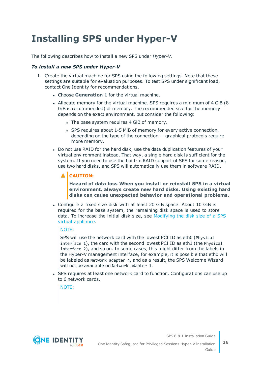## <span id="page-25-0"></span>**Installing SPS under Hyper-V**

The following describes how to install a new SPS under *Hyper-V*.

## *To install a new SPS under Hyper-V*

- 1. Create the virtual machine for SPS using the following settings. Note that these settings are suitable for evaluation purposes. To test SPS under significant load, contact One Identity for recommendations.
	- **.** Choose **Generation 1** for the virtual machine.
	- Allocate memory for the virtual machine. SPS requires a minimum of 4 GiB (8) GiB is recommended) of memory. The recommended size for the memory depends on the exact environment, but consider the following:
		- The base system requires 4 GiB of memory.
		- SPS requires about 1-5 MiB of memory for every active connection, depending on the type of the connection  $-$  graphical protocols require more memory.
	- Do not use RAID for the hard disk, use the data duplication features of your virtual environment instead. That way, a single hard disk is sufficient for the system. If you need to use the built-in RAID support of SPS for some reason, use two hard disks, and SPS will automatically use them in software RAID.

#### ΔI **CAUTION:**

**Hazard of data loss When you install or reinstall SPS in a virtual environment, always create new hard disks. Using existing hard disks can cause unexpected behavior and operational problems.**

<sup>l</sup> Configure a fixed size disk with at least 20 GiB space. About 10 GiB is required for the base system, the remaining disk space is used to store data. To increase the initial disk size, see [Modifying](#page-36-1) the disk size of a SPS virtual [appliance.](#page-36-1)

## NOTE:

SPS will use the network card with the lowest PCI ID as eth0 (Physical interface 1), the card with the second lowest PCI ID as eth1 (the Physical interface 2), and so on. In some cases, this might differ from the labels in the Hyper-V management interface, for example, it is possible that eth0 will be labeled as Network adapter 4, and as a result, the SPS Welcome Wizard will not be available on Network adapter 1.

• SPS requires at least one network card to function. Configurations can use up to 6 network cards.

NOTE:



One Identity Safeguard for Privileged Sessions Hyper-V Installation Guide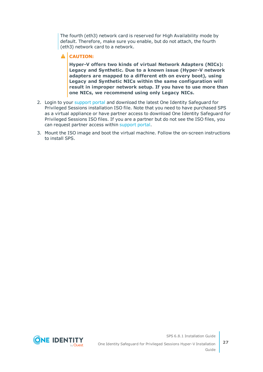The fourth (eth3) network card is reserved for High Availability mode by default. Therefore, make sure you enable, but do not attach, the fourth (eth3) network card to a network.

## **A** CAUTION:

**Hyper-V offers two kinds of virtual Network Adapters (NICs): Legacy and Synthetic. Due to a known issue (Hyper-V network adapters are mapped to a different eth on every boot), using Legacy and Synthetic NICs within the same configuration will result in improper network setup. If you have to use more than one NICs, we recommend using only Legacy NICs.**

- 2. Login to your [support](https://support.oneidentity.com/en-US/Login) portal and download the latest One Identity Safeguard for Privileged Sessions installation ISO file. Note that you need to have purchased SPS as a virtual appliance or have partner access to download One Identity Safeguard for Privileged Sessions ISO files. If you are a partner but do not see the ISO files, you can request partner access within [support](https://support.oneidentity.com/en-US/Login) portal.
- 3. Mount the ISO image and boot the virtual machine. Follow the on-screen instructions to install SPS.

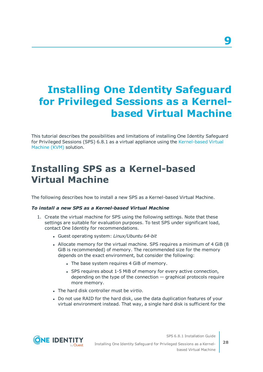# <span id="page-27-0"></span>**Installing One Identity Safeguard for Privileged Sessions as a Kernelbased Virtual Machine**

This tutorial describes the possibilities and limitations of installing One Identity Safeguard for Privileged Sessions (SPS) 6.8.1 as a virtual appliance using the [Kernel-based](http://www.linux-kvm.org/page/Main_Page) Virtual [Machine](http://www.linux-kvm.org/page/Main_Page) (KVM) solution.

## <span id="page-27-1"></span>**Installing SPS as a Kernel-based Virtual Machine**

The following describes how to install a new SPS as a Kernel-based Virtual Machine.

## *To install a new SPS as a Kernel-based Virtual Machine*

- 1. Create the virtual machine for SPS using the following settings. Note that these settings are suitable for evaluation purposes. To test SPS under significant load, contact One Identity for recommendations.
	- <sup>l</sup> Guest operating system: *Linux/Ubuntu 64-bit*
	- Allocate memory for the virtual machine. SPS requires a minimum of 4 GiB (8) GiB is recommended) of memory. The recommended size for the memory depends on the exact environment, but consider the following:
		- The base system requires 4 GiB of memory.
		- SPS requires about 1-5 MiB of memory for every active connection, depending on the type of the connection  $-$  graphical protocols require more memory.
	- <sup>l</sup> The hard disk controller must be *virtio*.
	- Do not use RAID for the hard disk, use the data duplication features of your virtual environment instead. That way, a single hard disk is sufficient for the

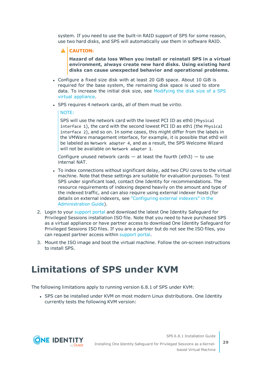system. If you need to use the built-in RAID support of SPS for some reason, use two hard disks, and SPS will automatically use them in software RAID.

## **A** CAUTION:

**Hazard of data loss When you install or reinstall SPS in a virtual environment, always create new hard disks. Using existing hard disks can cause unexpected behavior and operational problems.**

- Configure a fixed size disk with at least 20 GiB space. About 10 GiB is required for the base system, the remaining disk space is used to store data. To increase the initial disk size, see [Modifying](#page-36-1) the disk size of a SPS virtual [appliance.](#page-36-1)
- <sup>l</sup> SPS requires 4 network cards, all of them must be *virtio*.

### NOTE:

SPS will use the network card with the lowest PCI ID as eth0 (Physical interface 1), the card with the second lowest PCI ID as eth1 (the Physical interface 2), and so on. In some cases, this might differ from the labels in the VMWare management interface, for example, it is possible that eth0 will be labeled as Network adapter 4, and as a result, the SPS Welcome Wizard will not be available on Network adapter 1.

Configure unused network cards  $-$  at least the fourth (eth3)  $-$  to use internal NAT.

- To index connections without significant delay, add two CPU cores to the virtual machine. Note that these settings are suitable for evaluation purposes. To test SPS under significant load, contact One Identity for recommendations. The resource requirements of indexing depend heavily on the amount and type of the indexed traffic, and can also require using external indexer hosts (for details on external indexers, see ["Configuring](https://support.oneidentity.com/technical-documents/safeguard-for-privileged-sessions/6.8.1/administration-guide/indexing-audit-trails/configuring-external-indexers/) external indexers" in the [Administration](https://support.oneidentity.com/technical-documents/safeguard-for-privileged-sessions/6.8.1/administration-guide/indexing-audit-trails/configuring-external-indexers/) Guide).
- 2. Login to your [support](https://support.oneidentity.com/en-US/Login) portal and download the latest One Identity Safeguard for Privileged Sessions installation ISO file. Note that you need to have purchased SPS as a virtual appliance or have partner access to download One Identity Safeguard for Privileged Sessions ISO files. If you are a partner but do not see the ISO files, you can request partner access within [support](https://support.oneidentity.com/en-US/Login) portal.
- 3. Mount the ISO image and boot the virtual machine. Follow the on-screen instructions to install SPS.

## <span id="page-28-0"></span>**Limitations of SPS under KVM**

The following limitations apply to running version 6.8.1 of SPS under KVM:

• SPS can be installed under KVM on most modern Linux distributions. One Identity currently tests the following KVM version:

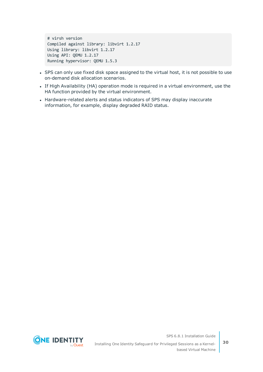# virsh version Compiled against library: libvirt 1.2.17 Using library: libvirt 1.2.17 Using API: QEMU 1.2.17 Running hypervisor: QEMU 1.5.3

- SPS can only use fixed disk space assigned to the virtual host, it is not possible to use on-demand disk allocation scenarios.
- If High Availability (HA) operation mode is required in a virtual environment, use the HA function provided by the virtual environment.
- Hardware-related alerts and status indicators of SPS may display inaccurate information, for example, display degraded RAID status.

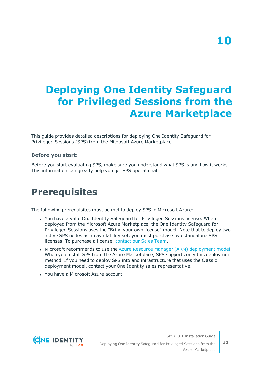# <span id="page-30-0"></span>**Deploying One Identity Safeguard for Privileged Sessions from the Azure Marketplace**

This guide provides detailed descriptions for deploying One Identity Safeguard for Privileged Sessions (SPS) from the Microsoft Azure Marketplace.

## **Before you start:**

Before you start evaluating SPS, make sure you understand what SPS is and how it works. This information can greatly help you get SPS operational.

## <span id="page-30-1"></span>**Prerequisites**

The following prerequisites must be met to deploy SPS in Microsoft Azure:

- You have a valid One Identity Safeguard for Privileged Sessions license. When deployed from the Microsoft Azure Marketplace, the One Identity Safeguard for Privileged Sessions uses the "Bring your own license" model. Note that to deploy two active SPS nodes as an availability set, you must purchase two standalone SPS licenses. To purchase a license, [contact](https://www.oneidentity.com/buy/) our Sales Team.
- Microsoft recommends to use the Azure Resource Manager (ARM) [deployment](https://docs.microsoft.com/en-us/azure/azure-resource-manager/resource-manager-deployment-model) model. When you install SPS from the Azure Marketplace, SPS supports only this deployment method. If you need to deploy SPS into and infrastructure that uses the Classic deployment model, contact your One Identity sales representative.
- . You have a Microsoft Azure account.



Deploying One Identity Safeguard for Privileged Sessions from the Azure Marketplace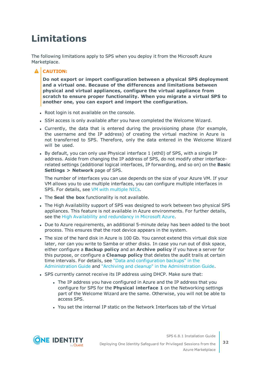# <span id="page-31-0"></span>**Limitations**

The following limitations apply to SPS when you deploy it from the Microsoft Azure Marketplace.

## **A** CAUTION:

**Do not export or import configuration between a physical SPS deployment and a virtual one. Because of the differences and limitations between physical and virtual appliances, configure the virtual appliance from scratch to ensure proper functionality. When you migrate a virtual SPS to another one, you can export and import the configuration.**

- Root login is not available on the console.
- SSH access is only available after you have completed the Welcome Wizard.
- Currently, the data that is entered during the provisioning phase (for example, the username and the IP address) of creating the virtual machine in Azure is not transferred to SPS. Therefore, only the data entered in the Welcome Wizard will be used.
- By default, you can only use Physical interface 1 (eth0) of SPS, with a single IP address. Aside from changing the IP address of SPS, do not modify other interfacerelated settings (additional logical interfaces, IP forwarding, and so on) on the **Basic Settings > Network** page of SPS.

The number of interfaces you can use depends on the size of your Azure VM. If your VM allows you to use multiple interfaces, you can configure multiple interfaces in SPS. For details, see VM with [multiple](https://docs.microsoft.com/en-us/azure/virtual-network/virtual-network-deploy-multinic-classic-ps) NICs.

- **.** The **Seal the box** functionality is not available.
- The High Availability support of SPS was designed to work between two physical SPS appliances. This feature is not available in Azure environments. For further details, see the High Availability and [redundancy](#page-35-0) in Microsoft Azure.
- Due to Azure requirements, an additional 5-minute delay has been added to the boot process. This ensures that the root device appears in the system.
- The size of the hard disk in Azure is 100 Gb. You cannot extend this virtual disk size later, nor can you write to Samba or other disks. In case you run out of disk space, either configure a **Backup policy** and an **Archive policy** if you have a server for this purpose, or configure a **Cleanup policy** that deletes the audit trails at certain time intervals. For details, see "Data and [configuration](https://support.oneidentity.com/technical-documents/safeguard-for-privileged-sessions/6.8.1/administration-guide/basic-settings/data-and-configuration-backups/) backups" in the [Administration](https://support.oneidentity.com/technical-documents/safeguard-for-privileged-sessions/6.8.1/administration-guide/basic-settings/data-and-configuration-backups/) Guide and "Archiving and cleanup" in the [Administration](https://support.oneidentity.com/technical-documents/safeguard-for-privileged-sessions/6.8.1/administration-guide/basic-settings/archiving-and-cleanup/) Guide.
- SPS currently cannot receive its IP address using DHCP. Make sure that:
	- The IP address you have configured in Azure and the IP address that you configure for SPS for the **Physical interface 1** on the Networking settings part of the Welcome Wizard are the same. Otherwise, you will not be able to access SPS.
	- You set the internal IP static on the Network Interfaces tab of the Virtual



Deploying One Identity Safeguard for Privileged Sessions from the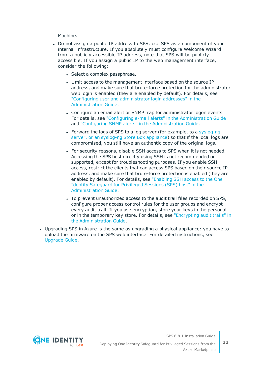Machine.

- Do not assign a public IP address to SPS, use SPS as a component of your internal infrastructure. If you absolutely must configure Welcome Wizard from a publicly accessible IP address, note that SPS will be publicly accessible. If you assign a public IP to the web management interface, consider the following:
	- Select a complex passphrase.
	- Limit access to the management interface based on the source IP address, and make sure that brute-force protection for the administrator web login is enabled (they are enabled by default). For details, see "Configuring user and [administrator](https://support.oneidentity.com/technical-documents/safeguard-for-privileged-sessions/6.8.1/administration-guide/basic-settings/network-settings/configuring-user-and-administrator-login-addresses/) login addresses" in the [Administration](https://support.oneidentity.com/technical-documents/safeguard-for-privileged-sessions/6.8.1/administration-guide/basic-settings/network-settings/configuring-user-and-administrator-login-addresses/) Guide.
	- Configure an email alert or SNMP trap for administrator logon events. For details, see "Configuring e-mail alerts" in the [Administration](https://support.oneidentity.com/technical-documents/safeguard-for-privileged-sessions/6.8.1/administration-guide/basic-settings/ system-logging-snmp-and-e-mail-alerts/configuring-e-mail-alerts/) Guide and "Configuring SNMP alerts" in the [Administration](https://support.oneidentity.com/technical-documents/safeguard-for-privileged-sessions/6.8.1/administration-guide/basic-settings/ system-logging-snmp-and-e-mail-alerts/configuring-snmp-alerts/) Guide.
	- Forward the logs of SPS to a log server (for example, to a [syslog-ng](https://syslog-ng.com/) server, or an [syslog-ng](https://syslog-ng.com/) Store Box appliance) so that if the local logs are compromised, you still have an authentic copy of the original logs.
	- For security reasons, disable SSH access to SPS when it is not needed. Accessing the SPS host directly using SSH is not recommended or supported, except for troubleshooting purposes. If you enable SSH access, restrict the clients that can access SPS based on their source IP address, and make sure that brute-force protection is enabled (they are enabled by default). For details, see ["Enabling](https://support.oneidentity.com/technical-documents/safeguard-for-privileged-sessions/6.8.1/administration-guide/managing-one-identity-safeguard-for-privileged-sessions-sps/accessing-the-one-identity-safeguard-for-privileged-sessions-sps-console/enabling-ssh-access-to-the-one-identity-safeguard-for-privileged-sessions-sps-host/) SSH access to the One Identity [Safeguard](https://support.oneidentity.com/technical-documents/safeguard-for-privileged-sessions/6.8.1/administration-guide/managing-one-identity-safeguard-for-privileged-sessions-sps/accessing-the-one-identity-safeguard-for-privileged-sessions-sps-console/enabling-ssh-access-to-the-one-identity-safeguard-for-privileged-sessions-sps-host/) for Privileged Sessions (SPS) host" in the [Administration](https://support.oneidentity.com/technical-documents/safeguard-for-privileged-sessions/6.8.1/administration-guide/managing-one-identity-safeguard-for-privileged-sessions-sps/accessing-the-one-identity-safeguard-for-privileged-sessions-sps-console/enabling-ssh-access-to-the-one-identity-safeguard-for-privileged-sessions-sps-host/) Guide.
	- To prevent unauthorized access to the audit trail files recorded on SPS, configure proper access control rules for the user groups and encrypt every audit trail. If you use encryption, store your keys in the personal or in the temporary key store. For details, see ["Encrypting](https://support.oneidentity.com/technical-documents/safeguard-for-privileged-sessions/6.8.1/administration-guide/general-connection-settings/audit-policies/encrypting-audit-trails/) audit trails" in the [Administration](https://support.oneidentity.com/technical-documents/safeguard-for-privileged-sessions/6.8.1/administration-guide/general-connection-settings/audit-policies/encrypting-audit-trails/) Guide,
- Upgrading SPS in Azure is the same as upgrading a physical appliance: you have to upload the firmware on the SPS web interface. For detailed instructions, see [Upgrade](https://support.oneidentity.com/technical-documents/safeguard-for-privileged-sessions/6.8.1/upgrade-guide/) Guide.

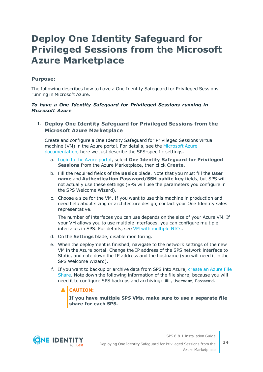## <span id="page-33-0"></span>**Deploy One Identity Safeguard for Privileged Sessions from the Microsoft Azure Marketplace**

## **Purpose:**

The following describes how to have a One Identity Safeguard for Privileged Sessions running in Microsoft Azure.

### *To have a One Identity Safeguard for Privileged Sessions running in Microsoft Azure*

## 1. **Deploy One Identity Safeguard for Privileged Sessions from the Microsoft Azure Marketplace**

Create and configure a One Identity Safeguard for Privileged Sessions virtual machine (VM) in the Azure portal. For details, see the [Microsoft](https://docs.microsoft.com/en-us/azure/virtual-machines/windows/quick-create-portal) Azure [documentation,](https://docs.microsoft.com/en-us/azure/virtual-machines/windows/quick-create-portal) here we just describe the SPS-specific settings.

- a. Login to the Azure [portal,](https://portal.azure.com/) select **One Identity Safeguard for Privileged Sessions** from the Azure Marketplace, then click **Create**.
- b. Fill the required fields of the **Basics** blade. Note that you must fill the **User name** and **Authentication Password/SSH public key** fields, but SPS will not actually use these settings (SPS will use the parameters you configure in the SPS Welcome Wizard).
- c. Choose a size for the VM. If you want to use this machine in production and need help about sizing or architecture design, contact your One Identity sales representative.

The number of interfaces you can use depends on the size of your Azure VM. If your VM allows you to use multiple interfaces, you can configure multiple interfaces in SPS. For details, see VM with [multiple](https://docs.microsoft.com/en-us/azure/virtual-network/virtual-network-deploy-multinic-classic-ps) NICs.

- d. On the **Settings** blade, disable monitoring.
- e. When the deployment is finished, navigate to the network settings of the new VM in the Azure portal. Change the IP address of the SPS network interface to Static, and note down the IP address and the hostname (you will need it in the SPS Welcome Wizard).
- f. If you want to backup or archive data from SPS into Azure, [create](https://docs.microsoft.com/en-us/azure/storage/files/storage-dotnet-how-to-use-files#use-the-azure-portal-to-manage-a-file-share) an Azure File [Share](https://docs.microsoft.com/en-us/azure/storage/files/storage-dotnet-how-to-use-files#use-the-azure-portal-to-manage-a-file-share). Note down the following information of the file share, because you will need it to configure SPS backups and archiving: URL, Username, Password.

## **A** CAUTION:

**If you have multiple SPS VMs, make sure to use a separate file share for each SPS.**

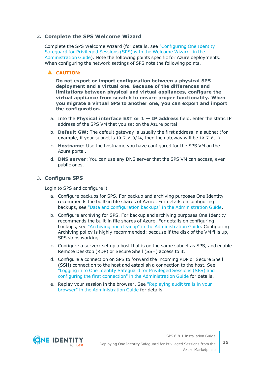## 2. **Complete the SPS Welcome Wizard**

Complete the SPS Welcome Wizard (for details, see ["Configuring](https://support.oneidentity.com/technical-documents/safeguard-for-privileged-sessions/6.8.1/administration-guide/the-welcome-wizard-and-the-first-login/configuring-one-identity-safeguard-for-privileged-sessions-sps-with-the-welcome-wizard/) One Identity [Safeguard](https://support.oneidentity.com/technical-documents/safeguard-for-privileged-sessions/6.8.1/administration-guide/the-welcome-wizard-and-the-first-login/configuring-one-identity-safeguard-for-privileged-sessions-sps-with-the-welcome-wizard/) for Privileged Sessions (SPS) with the Welcome Wizard" in the [Administration](https://support.oneidentity.com/technical-documents/safeguard-for-privileged-sessions/6.8.1/administration-guide/the-welcome-wizard-and-the-first-login/configuring-one-identity-safeguard-for-privileged-sessions-sps-with-the-welcome-wizard/) Guide). Note the following points specific for Azure deployments. When configuring the network settings of SPS note the following points.

### A **CAUTION:**

**Do not export or import configuration between a physical SPS deployment and a virtual one. Because of the differences and limitations between physical and virtual appliances, configure the virtual appliance from scratch to ensure proper functionality. When you migrate a virtual SPS to another one, you can export and import the configuration.**

- a. Into the **Physical interface EXT or 1 — IP address** field, enter the static IP address of the SPS VM that you set on the Azure portal.
- b. **Default GW**: The default gateway is usually the first address in a subnet (for example, if your subnet is 10.7.0.0/24, then the gateway will be 10.7.0.1).
- c. **Hostname**: Use the hostname you have configured for the SPS VM on the Azure portal.
- d. **DNS server**: You can use any DNS server that the SPS VM can access, even public ones.

## 3. **Configure SPS**

Login to SPS and configure it.

- a. Configure backups for SPS. For backup and archiving purposes One Identity recommends the built-in file shares of Azure. For details on configuring backups, see "Data and configuration backups" in the [Administration](https://support.oneidentity.com/technical-documents/safeguard-for-privileged-sessions/6.8.1/administration-guide/basic-settings/data-and-configuration-backups/) Guide.
- b. Configure archiving for SPS. For backup and archiving purposes One Identity recommends the built-in file shares of Azure. For details on configuring backups, see "Archiving and cleanup" in the [Administration](https://support.oneidentity.com/technical-documents/safeguard-for-privileged-sessions/6.8.1/administration-guide/basic-settings/archiving-and-cleanup/) Guide. Configuring Archiving policy is highly recommended: because if the disk of the VM fills up, SPS stops working.
- c. Configure a server: set up a host that is on the same subnet as SPS, and enable Remote Desktop (RDP) or Secure Shell (SSH) access to it.
- d. Configure a connection on SPS to forward the incoming RDP or Secure Shell (SSH) connection to the host and establish a connection to the host. See "Logging in to One Identity [Safeguard](https://support.oneidentity.com/technical-documents/safeguard-for-privileged-sessions/6.8.1/administration-guide/the-welcome-wizard-and-the-first-login/logging-in-to-one-identity-safeguard-for-privileged-sessions-sps-and-configuring-the-first-connection/) for Privileged Sessions (SPS) and configuring the first connection" in the [Administration](https://support.oneidentity.com/technical-documents/safeguard-for-privileged-sessions/6.8.1/administration-guide/the-welcome-wizard-and-the-first-login/logging-in-to-one-identity-safeguard-for-privileged-sessions-sps-and-configuring-the-first-connection/) Guide for details.
- e. Replay your session in the browser. See ["Replaying](https://support.oneidentity.com/technical-documents/safeguard-for-privileged-sessions/6.8.1/administration-guide/using-the-search-interface/replaying-audit-trails-in-your-browser/) audit trails in your browser" in the [Administration](https://support.oneidentity.com/technical-documents/safeguard-for-privileged-sessions/6.8.1/administration-guide/using-the-search-interface/replaying-audit-trails-in-your-browser/) Guide for details.



Deploying One Identity Safeguard for Privileged Sessions from the Azure Marketplace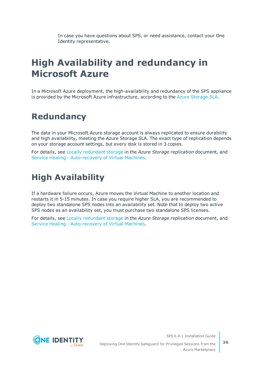In case you have questions about SPS, or need assistance, contact your One Identity representative.

## <span id="page-35-0"></span>**High Availability and redundancy in Microsoft Azure**

In a Microsoft Azure deployment, the high-availability and redundancy of the SPS appliance is provided by the Microsoft Azure infrastructure, according to the Azure [Storage](https://azure.microsoft.com/en-us/support/legal/sla/storage/v1_1/) SLA.

## <span id="page-35-1"></span>**Redundancy**

The data in your Microsoft Azure storage account is always replicated to ensure durability and high availability, meeting the Azure Storage SLA. The exact type of replication depends on your storage account settings, but every disk is stored in 3 copies.

For details, see Locally [redundant](https://docs.microsoft.com/en-us/azure/storage/common/storage-redundancy#locally-redundant-storage) storage in the *Azure Storage replication* document, and Service Healing - [Auto-recovery](https://azure.microsoft.com/en-us/blog/service-healing-auto-recovery-of-virtual-machines/) of Virtual Machines.

## <span id="page-35-2"></span>**High Availability**

If a hardware failure occurs, Azure moves the Virtual Machine to another location and restarts it in 5-15 minutes. In case you require higher SLA, you are recommended to deploy two standalone SPS nodes into an availability set. Note that to deploy two active SPS nodes as an availability set, you must purchase two standalone SPS licenses.

For details, see Locally [redundant](https://docs.microsoft.com/en-us/azure/storage/common/storage-redundancy#locally-redundant-storage) storage in the *Azure Storage replication* document, and Service Healing - [Auto-recovery](https://azure.microsoft.com/en-us/blog/service-healing-auto-recovery-of-virtual-machines/) of Virtual Machines.



Deploying One Identity Safeguard for Privileged Sessions from the Azure Marketplace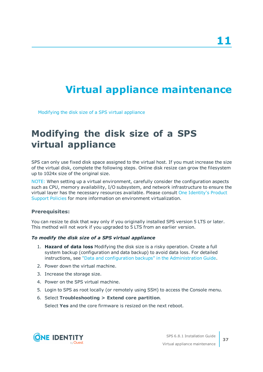# <span id="page-36-0"></span>**Virtual appliance maintenance**

<span id="page-36-1"></span>[Modifying](#page-36-1) the disk size of a SPS virtual appliance

## **Modifying the disk size of a SPS virtual appliance**

SPS can only use fixed disk space assigned to the virtual host. If you must increase the size of the virtual disk, complete the following steps. Online disk resize can grow the filesystem up to 1024x size of the original size.

NOTE: When setting up a virtual environment, carefully consider the configuration aspects such as CPU, memory availability, I/O subsystem, and network infrastructure to ensure the virtual layer has the necessary resources available. Please consult One [Identity's](https://support.oneidentity.com/essentials/support-guide#tab3) Product [Support](https://support.oneidentity.com/essentials/support-guide#tab3) Policies for more information on environment virtualization.

## **Prerequisites:**

You can resize te disk that way only if you originally installed SPS version 5 LTS or later. This method will not work if you upgraded to 5 LTS from an earlier version.

## *To modify the disk size of a SPS virtual appliance*

- 1. **Hazard of data loss** Modifying the disk size is a risky operation. Create a full system backup (configuration and data backup) to avoid data loss. For detailed instructions, see "Data and configuration backups" in the [Administration](https://support.oneidentity.com/technical-documents/safeguard-for-privileged-sessions/6.8.1/administration-guide/basic-settings/data-and-configuration-backups/) Guide.
- 2. Power down the virtual machine.
- 3. Increase the storage size.
- 4. Power on the SPS virtual machine.
- 5. Login to SPS as root locally (or remotely using SSH) to access the Console menu.
- 6. Select **Troubleshooting > Extend core partition**.

Select **Yes** and the core firmware is resized on the next reboot.

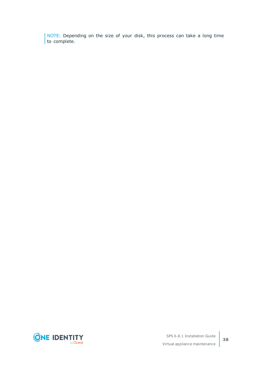NOTE: Depending on the size of your disk, this process can take a long time to complete.